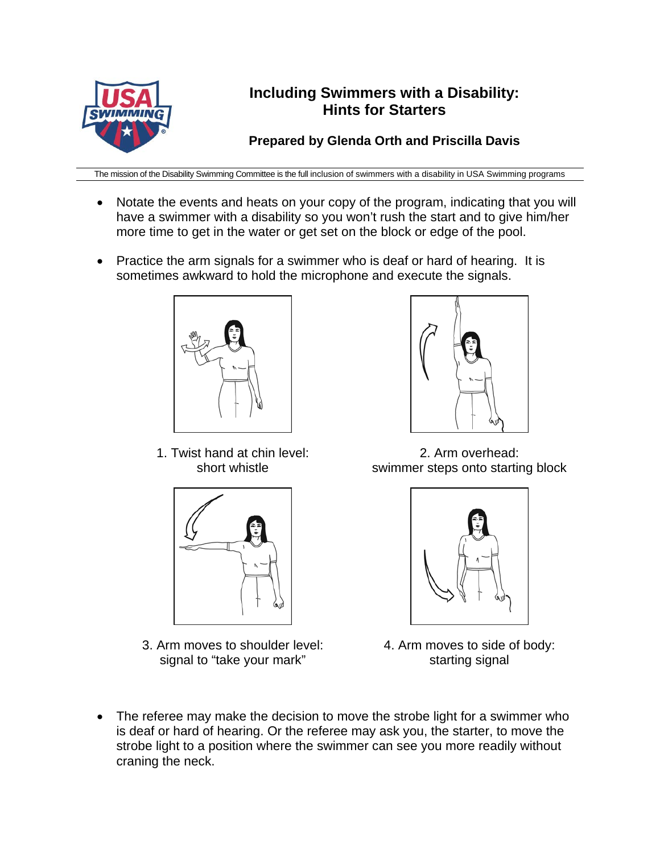

## **Including Swimmers with a Disability: Hints for Starters**

**Prepared by Glenda Orth and Priscilla Davis** 

The mission of the Disability Swimming Committee is the full inclusion of swimmers with a disability in USA Swimming programs

- Notate the events and heats on your copy of the program, indicating that you will have a swimmer with a disability so you won't rush the start and to give him/her more time to get in the water or get set on the block or edge of the pool.
- Practice the arm signals for a swimmer who is deaf or hard of hearing. It is sometimes awkward to hold the microphone and execute the signals.



1. Twist hand at chin level: short whistle



3. Arm moves to shoulder level: signal to "take your mark"



2. Arm overhead: swimmer steps onto starting block



- 4. Arm moves to side of body: starting signal
- The referee may make the decision to move the strobe light for a swimmer who is deaf or hard of hearing. Or the referee may ask you, the starter, to move the strobe light to a position where the swimmer can see you more readily without craning the neck.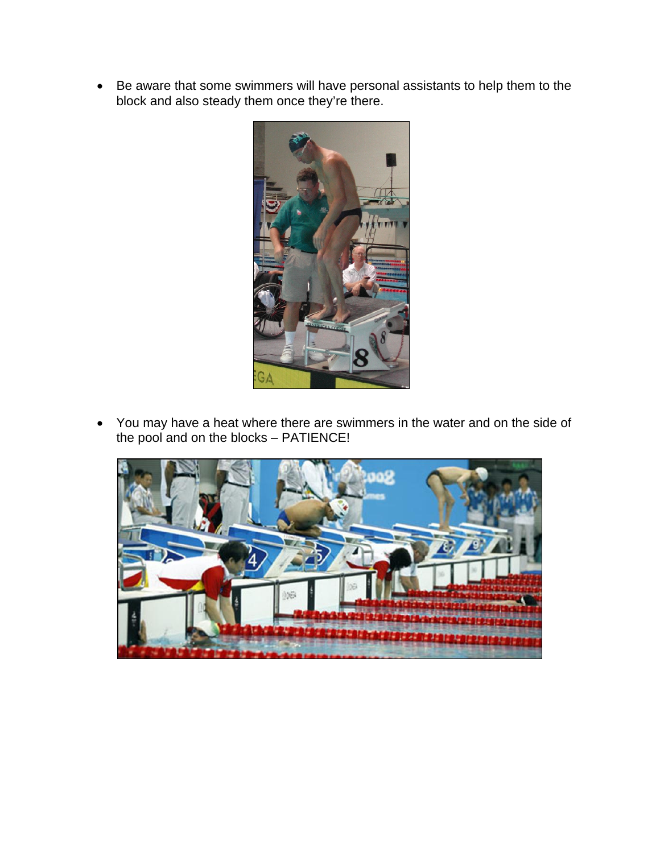Be aware that some swimmers will have personal assistants to help them to the block and also steady them once they're there.



 You may have a heat where there are swimmers in the water and on the side of the pool and on the blocks – PATIENCE!